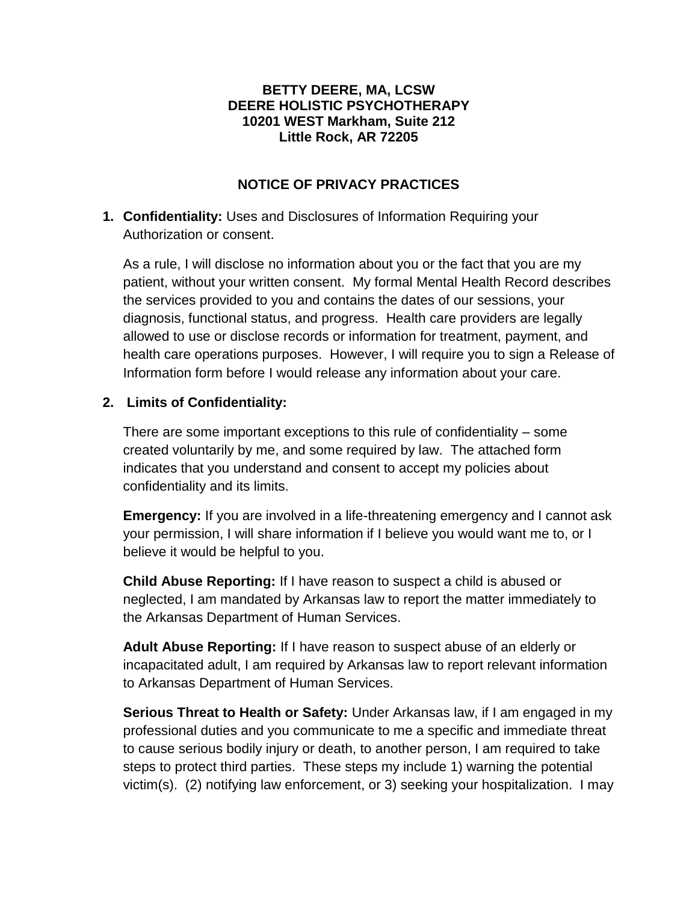#### **BETTY DEERE, MA, LCSW DEERE HOLISTIC PSYCHOTHERAPY 10201 WEST Markham, Suite 212 Little Rock, AR 72205**

## **NOTICE OF PRIVACY PRACTICES**

# **1. Confidentiality:** Uses and Disclosures of Information Requiring your Authorization or consent.

As a rule, I will disclose no information about you or the fact that you are my patient, without your written consent. My formal Mental Health Record describes the services provided to you and contains the dates of our sessions, your diagnosis, functional status, and progress. Health care providers are legally allowed to use or disclose records or information for treatment, payment, and health care operations purposes. However, I will require you to sign a Release of Information form before I would release any information about your care.

## **2. Limits of Confidentiality:**

There are some important exceptions to this rule of confidentiality – some created voluntarily by me, and some required by law. The attached form indicates that you understand and consent to accept my policies about confidentiality and its limits.

**Emergency:** If you are involved in a life-threatening emergency and I cannot ask your permission, I will share information if I believe you would want me to, or I believe it would be helpful to you.

**Child Abuse Reporting:** If I have reason to suspect a child is abused or neglected, I am mandated by Arkansas law to report the matter immediately to the Arkansas Department of Human Services.

**Adult Abuse Reporting:** If I have reason to suspect abuse of an elderly or incapacitated adult, I am required by Arkansas law to report relevant information to Arkansas Department of Human Services.

**Serious Threat to Health or Safety:** Under Arkansas law, if I am engaged in my professional duties and you communicate to me a specific and immediate threat to cause serious bodily injury or death, to another person, I am required to take steps to protect third parties. These steps my include 1) warning the potential victim(s). (2) notifying law enforcement, or 3) seeking your hospitalization. I may